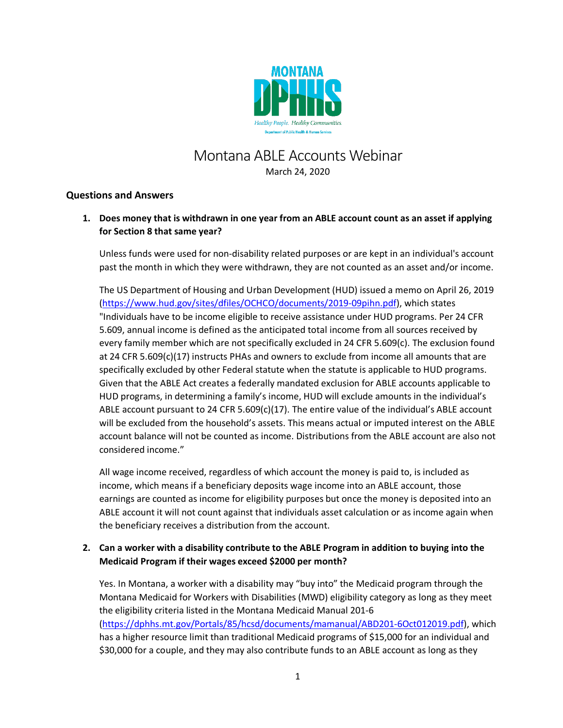

# Montana ABLE Accounts Webinar March 24, 2020

## **Questions and Answers**

**1. Does money that is withdrawn in one year from an ABLE account count as an asset if applying for Section 8 that same year?**

Unless funds were used for non-disability related purposes or are kept in an individual's account past the month in which they were withdrawn, they are not counted as an asset and/or income.

The US Department of Housing and Urban Development (HUD) issued a memo on April 26, 2019 [\(https://www.hud.gov/sites/dfiles/OCHCO/documents/2019-09pihn.pdf\)](https://www.hud.gov/sites/dfiles/OCHCO/documents/2019-09pihn.pdf), which states "Individuals have to be income eligible to receive assistance under HUD programs. Per 24 CFR 5.609, annual income is defined as the anticipated total income from all sources received by every family member which are not specifically excluded in 24 CFR 5.609(c). The exclusion found at 24 CFR 5.609(c)(17) instructs PHAs and owners to exclude from income all amounts that are specifically excluded by other Federal statute when the statute is applicable to HUD programs. Given that the ABLE Act creates a federally mandated exclusion for ABLE accounts applicable to HUD programs, in determining a family's income, HUD will exclude amounts in the individual's ABLE account pursuant to 24 CFR 5.609(c)(17). The entire value of the individual's ABLE account will be excluded from the household's assets. This means actual or imputed interest on the ABLE account balance will not be counted as income. Distributions from the ABLE account are also not considered income."

All wage income received, regardless of which account the money is paid to, is included as income, which means if a beneficiary deposits wage income into an ABLE account, those earnings are counted as income for eligibility purposes but once the money is deposited into an ABLE account it will not count against that individuals asset calculation or as income again when the beneficiary receives a distribution from the account.

# **2. Can a worker with a disability contribute to the ABLE Program in addition to buying into the Medicaid Program if their wages exceed \$2000 per month?**

Yes. In Montana, a worker with a disability may "buy into" the Medicaid program through the Montana Medicaid for Workers with Disabilities (MWD) eligibility category as long as they meet the eligibility criteria listed in the Montana Medicaid Manual 201-6 [\(https://dphhs.mt.gov/Portals/85/hcsd/documents/mamanual/ABD201-6Oct012019.pdf\)](https://dphhs.mt.gov/Portals/85/hcsd/documents/mamanual/ABD201-6Oct012019.pdf), which has a higher resource limit than traditional Medicaid programs of \$15,000 for an individual and \$30,000 for a couple, and they may also contribute funds to an ABLE account as long as they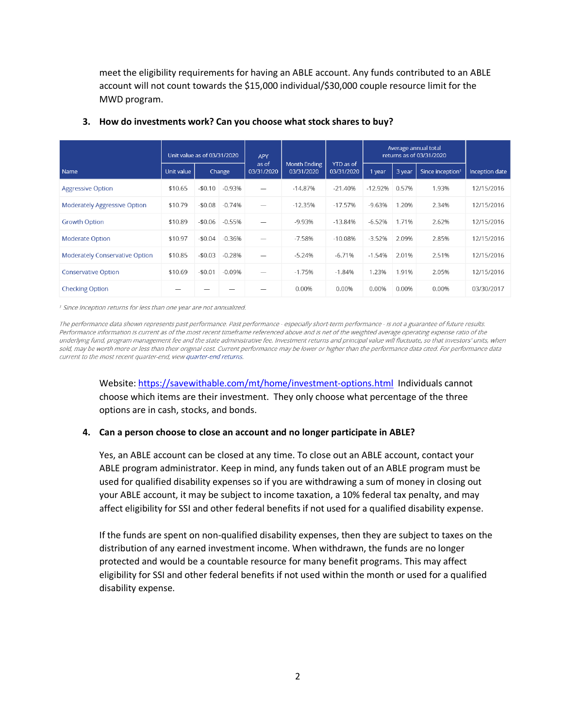meet the eligibility requirements for having an ABLE account. Any funds contributed to an ABLE account will not count towards the \$15,000 individual/\$30,000 couple resource limit for the MWD program.

|                                       | Unit value as of 03/31/2020 |          |          | <b>APY</b>          |                                   |                         | Average annual total<br>returns as of 03/31/2020 |        |                              |                |
|---------------------------------------|-----------------------------|----------|----------|---------------------|-----------------------------------|-------------------------|--------------------------------------------------|--------|------------------------------|----------------|
| Name                                  | Unit value                  | Change   |          | as of<br>03/31/2020 | <b>Month Ending</b><br>03/31/2020 | YTD as of<br>03/31/2020 | 1 year                                           | 3 year | Since inception <sup>1</sup> | Inception date |
| <b>Aggressive Option</b>              | \$10.65                     | $-$0.10$ | $-0.93%$ |                     | $-14.87%$                         | $-21.40%$               | $-12.92%$                                        | 0.57%  | 1.93%                        | 12/15/2016     |
| <b>Moderately Aggressive Option</b>   | \$10.79                     | $-$0.08$ | $-0.74%$ |                     | $-12.35%$                         | $-17.57%$               | $-9.63%$                                         | 1.20%  | 2.34%                        | 12/15/2016     |
| <b>Growth Option</b>                  | \$10.89                     | $-$0.06$ | $-0.55%$ |                     | $-9.93%$                          | $-13.84%$               | $-6.52%$                                         | 1.71%  | 2.62%                        | 12/15/2016     |
| <b>Moderate Option</b>                | \$10.97                     | $-50.04$ | $-0.36%$ |                     | $-7.58%$                          | $-10.08%$               | $-3.52%$                                         | 2.09%  | 2.85%                        | 12/15/2016     |
| <b>Moderately Conservative Option</b> | \$10.85                     | $-$0.03$ | $-0.28%$ |                     | $-5.24%$                          | $-6.71%$                | $-1.54%$                                         | 2.01%  | 2.51%                        | 12/15/2016     |
| <b>Conservative Option</b>            | \$10.69                     | $-$0.01$ | $-0.09%$ |                     | $-1.75%$                          | $-1.84%$                | 1.23%                                            | 1.91%  | 2.05%                        | 12/15/2016     |
| <b>Checking Option</b>                |                             |          |          |                     | 0.00%                             | 0.00%                   | 0.00%                                            | 0.00%  | 0.00%                        | 03/30/2017     |

#### **3. How do investments work? Can you choose what stock shares to buy?**

<sup>1</sup> Since Inception returns for less than one year are not annualized.

The performance data shown represents past performance. Past performance - especially short-term performance - is not a guarantee of future results. Performance information is current as of the most recent timeframe referenced above and is net of the weighted average operating expense ratio of the underlying fund, program management fee and the state administrative fee. Investment returns and principal value will fluctuate, so that investors' units, when sold, may be worth more or less than their original cost. Current performance may be lower or higher than the performance data cited. For performance data current to the most recent quarter-end, view quarter-end returns.

Website[: https://savewithable.com/mt/home/investment-options.html](https://savewithable.com/mt/home/investment-options.html) Individuals cannot choose which items are their investment. They only choose what percentage of the three options are in cash, stocks, and bonds.

#### **4. Can a person choose to close an account and no longer participate in ABLE?**

Yes, an ABLE account can be closed at any time. To close out an ABLE account, contact your ABLE program administrator. Keep in mind, any funds taken out of an ABLE program must be used for qualified disability expenses so if you are withdrawing a sum of money in closing out your ABLE account, it may be subject to income taxation, a 10% federal tax penalty, and may affect eligibility for SSI and other federal benefits if not used for a qualified disability expense.

If the funds are spent on non-qualified disability expenses, then they are subject to taxes on the distribution of any earned investment income. When withdrawn, the funds are no longer protected and would be a countable resource for many benefit programs. This may affect eligibility for SSI and other federal benefits if not used within the month or used for a qualified disability expense.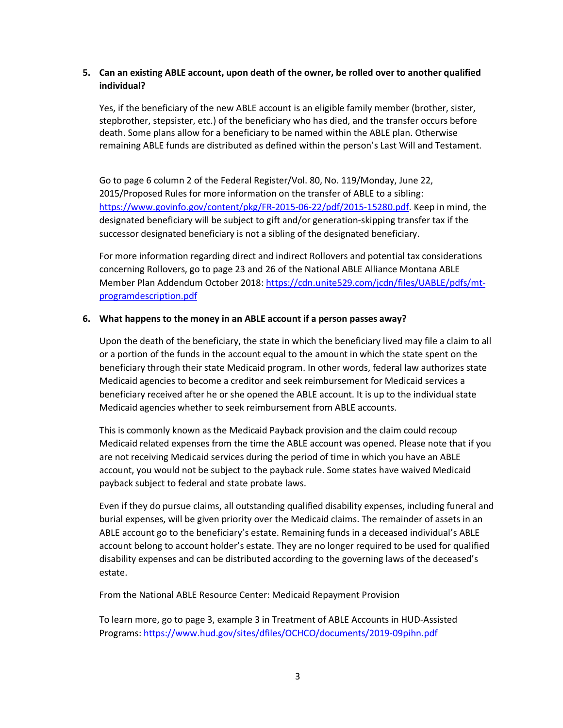## **5. Can an existing ABLE account, upon death of the owner, be rolled over to another qualified individual?**

Yes, if the beneficiary of the new ABLE account is an eligible family member (brother, sister, stepbrother, stepsister, etc.) of the beneficiary who has died, and the transfer occurs before death. Some plans allow for a beneficiary to be named within the ABLE plan. Otherwise remaining ABLE funds are distributed as defined within the person's Last Will and Testament.

Go to page 6 column 2 of the Federal Register/Vol. 80, No. 119/Monday, June 22, 2015/Proposed Rules for more information on the transfer of ABLE to a sibling: [https://www.govinfo.gov/content/pkg/FR-2015-06-22/pdf/2015-15280.pdf.](https://www.govinfo.gov/content/pkg/FR-2015-06-22/pdf/2015-15280.pdf) Keep in mind, the designated beneficiary will be subject to gift and/or generation-skipping transfer tax if the successor designated beneficiary is not a sibling of the designated beneficiary.

For more information regarding direct and indirect Rollovers and potential tax considerations concerning Rollovers, go to page 23 and 26 of the National ABLE Alliance Montana ABLE Member Plan Addendum October 2018[: https://cdn.unite529.com/jcdn/files/UABLE/pdfs/mt](https://cdn.unite529.com/jcdn/files/UABLE/pdfs/mt-programdescription.pdf)[programdescription.pdf](https://cdn.unite529.com/jcdn/files/UABLE/pdfs/mt-programdescription.pdf)

#### **6. What happens to the money in an ABLE account if a person passes away?**

Upon the death of the beneficiary, the state in which the beneficiary lived may file a claim to all or a portion of the funds in the account equal to the amount in which the state spent on the beneficiary through their state Medicaid program. In other words, federal law authorizes state Medicaid agencies to become a creditor and seek reimbursement for Medicaid services a beneficiary received after he or she opened the ABLE account. It is up to the individual state Medicaid agencies whether to seek reimbursement from ABLE accounts.

This is commonly known as the Medicaid Payback provision and the claim could recoup Medicaid related expenses from the time the ABLE account was opened. Please note that if you are not receiving Medicaid services during the period of time in which you have an ABLE account, you would not be subject to the payback rule. Some states have waived Medicaid payback subject to federal and state probate laws.

Even if they do pursue claims, all outstanding qualified disability expenses, including funeral and burial expenses, will be given priority over the Medicaid claims. The remainder of assets in an ABLE account go to the beneficiary's estate. Remaining funds in a deceased individual's ABLE account belong to account holder's estate. They are no longer required to be used for qualified disability expenses and can be distributed according to the governing laws of the deceased's estate.

From the National ABLE Resource Center: Medicaid Repayment Provision

To learn more, go to page 3, example 3 in Treatment of ABLE Accounts in HUD-Assisted Programs:<https://www.hud.gov/sites/dfiles/OCHCO/documents/2019-09pihn.pdf>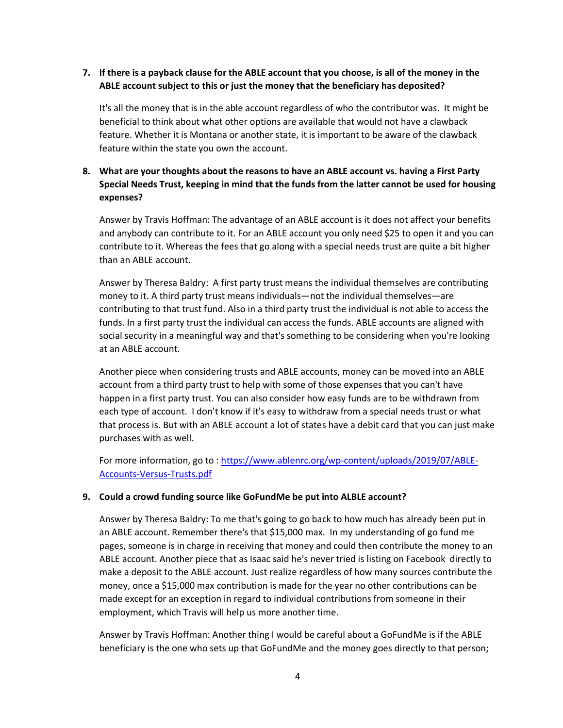## **7. If there is a payback clause for the ABLE account that you choose, is all of the money in the ABLE account subject to this or just the money that the beneficiary has deposited?**

It's all the money that is in the able account regardless of who the contributor was. It might be beneficial to think about what other options are available that would not have a clawback feature. Whether it is Montana or another state, it is important to be aware of the clawback feature within the state you own the account.

## **8. What are your thoughts about the reasons to have an ABLE account vs. having a First Party Special Needs Trust, keeping in mind that the funds from the latter cannot be used for housing expenses?**

Answer by Travis Hoffman: The advantage of an ABLE account is it does not affect your benefits and anybody can contribute to it. For an ABLE account you only need \$25 to open it and you can contribute to it. Whereas the fees that go along with a special needs trust are quite a bit higher than an ABLE account.

Answer by Theresa Baldry: A first party trust means the individual themselves are contributing money to it. A third party trust means individuals—not the individual themselves—are contributing to that trust fund. Also in a third party trust the individual is not able to access the funds. In a first party trust the individual can access the funds. ABLE accounts are aligned with social security in a meaningful way and that's something to be considering when you're looking at an ABLE account.

Another piece when considering trusts and ABLE accounts, money can be moved into an ABLE account from a third party trust to help with some of those expenses that you can't have happen in a first party trust. You can also consider how easy funds are to be withdrawn from each type of account. I don't know if it's easy to withdraw from a special needs trust or what that process is. But with an ABLE account a lot of states have a debit card that you can just make purchases with as well.

For more information, go to : [https://www.ablenrc.org/wp-content/uploads/2019/07/ABLE-](https://www.ablenrc.org/wp-content/uploads/2019/07/ABLE-Accounts-Versus-Trusts.pdf)[Accounts-Versus-Trusts.pdf](https://www.ablenrc.org/wp-content/uploads/2019/07/ABLE-Accounts-Versus-Trusts.pdf)

#### **9. Could a crowd funding source like GoFundMe be put into ALBLE account?**

Answer by Theresa Baldry: To me that's going to go back to how much has already been put in an ABLE account. Remember there's that \$15,000 max. In my understanding of go fund me pages, someone is in charge in receiving that money and could then contribute the money to an ABLE account. Another piece that as Isaac said he's never tried is listing on Facebook directly to make a deposit to the ABLE account. Just realize regardless of how many sources contribute the money, once a \$15,000 max contribution is made for the year no other contributions can be made except for an exception in regard to individual contributions from someone in their employment, which Travis will help us more another time.

Answer by Travis Hoffman: Another thing I would be careful about a GoFundMe is if the ABLE beneficiary is the one who sets up that GoFundMe and the money goes directly to that person;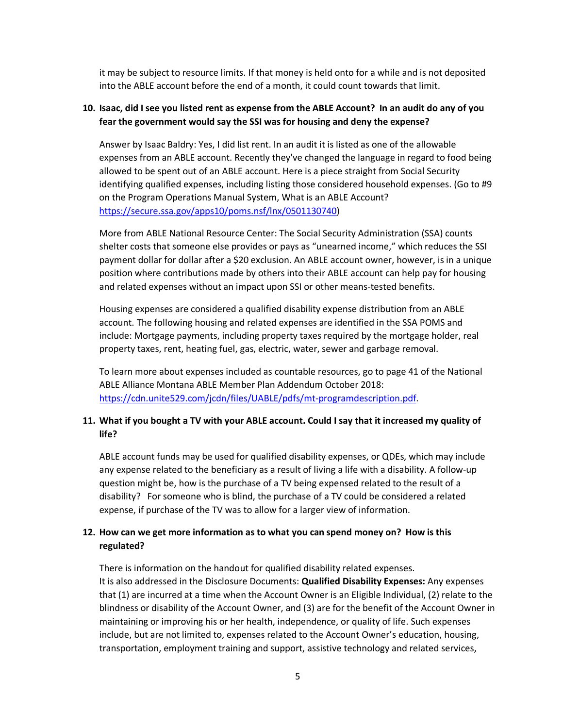it may be subject to resource limits. If that money is held onto for a while and is not deposited into the ABLE account before the end of a month, it could count towards that limit.

#### **10. Isaac, did I see you listed rent as expense from the ABLE Account? In an audit do any of you fear the government would say the SSI was for housing and deny the expense?**

Answer by Isaac Baldry: Yes, I did list rent. In an audit it is listed as one of the allowable expenses from an ABLE account. Recently they've changed the language in regard to food being allowed to be spent out of an ABLE account. Here is a piece straight from Social Security identifying qualified expenses, including listing those considered household expenses. (Go to #9 on the Program Operations Manual System, What is an ABLE Account? [https://secure.ssa.gov/apps10/poms.nsf/lnx/0501130740\)](https://secure.ssa.gov/apps10/poms.nsf/lnx/0501130740)

More from ABLE National Resource Center: The Social Security Administration (SSA) counts shelter costs that someone else provides or pays as "unearned income," which reduces the SSI payment dollar for dollar after a \$20 exclusion. An ABLE account owner, however, is in a unique position where contributions made by others into their ABLE account can help pay for housing and related expenses without an impact upon SSI or other means-tested benefits.

Housing expenses are considered a qualified disability expense distribution from an ABLE account. The following housing and related expenses are identified in the SSA POMS and include: Mortgage payments, including property taxes required by the mortgage holder, real property taxes, rent, heating fuel, gas, electric, water, sewer and garbage removal.

To learn more about expenses included as countable resources, go to page 41 of the National ABLE Alliance Montana ABLE Member Plan Addendum October 2018: [https://cdn.unite529.com/jcdn/files/UABLE/pdfs/mt-programdescription.pdf.](https://cdn.unite529.com/jcdn/files/UABLE/pdfs/mt-programdescription.pdf)

## **11. What if you bought a TV with your ABLE account. Could I say that it increased my quality of life?**

ABLE account funds may be used for qualified disability expenses, or QDEs, which may include any expense related to the beneficiary as a result of living a life with a disability. A follow-up question might be, how is the purchase of a TV being expensed related to the result of a disability? For someone who is blind, the purchase of a TV could be considered a related expense, if purchase of the TV was to allow for a larger view of information.

## **12. How can we get more information as to what you can spend money on? How is this regulated?**

There is information on the handout for qualified disability related expenses. It is also addressed in the Disclosure Documents: **Qualified Disability Expenses:** Any expenses that (1) are incurred at a time when the Account Owner is an Eligible Individual, (2) relate to the blindness or disability of the Account Owner, and (3) are for the benefit of the Account Owner in maintaining or improving his or her health, independence, or quality of life. Such expenses include, but are not limited to, expenses related to the Account Owner's education, housing, transportation, employment training and support, assistive technology and related services,